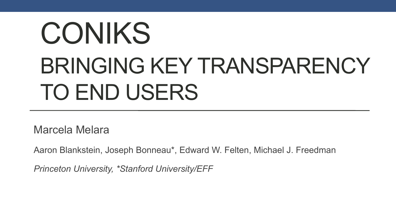# CONIKS BRINGING KEY TRANSPARENCY TO END USERS

Marcela Melara

Aaron Blankstein, Joseph Bonneau\*, Edward W. Felten, Michael J. Freedman

*Princeton University, \*Stanford University/EFF*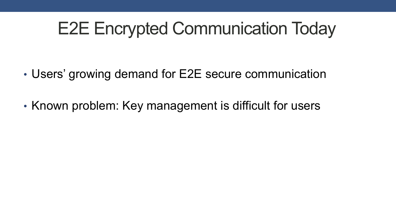## E2E Encrypted Communication Today

- Users' growing demand for E2E secure communication
- Known problem: Key management is difficult for users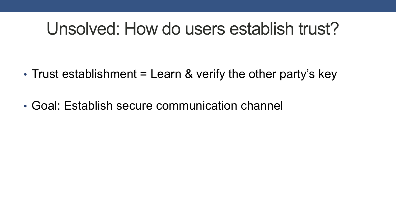#### Unsolved: How do users establish trust?

- Trust establishment = Learn & verify the other party's key
- Goal: Establish secure communication channel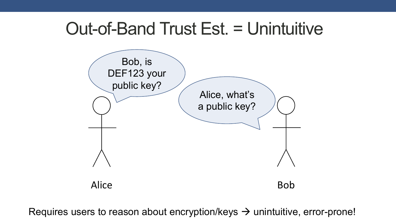#### Out-of-Band Trust Est. = Unintuitive



Requires users to reason about encryption/keys  $\rightarrow$  unintuitive, error-prone!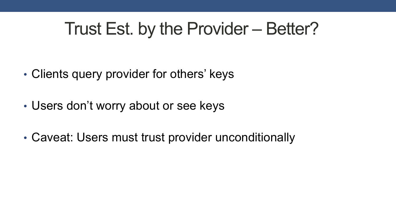## Trust Est. by the Provider – Better?

- Clients query provider for others' keys
- Users don't worry about or see keys
- Caveat: Users must trust provider unconditionally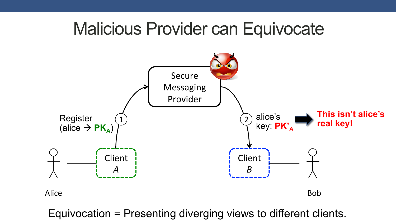#### Malicious Provider can Equivocate



Equivocation = Presenting diverging views to different clients.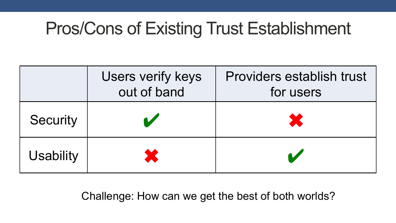## Pros/Cons of Existing Trust Establishment

|                  | Users verify keys<br>out of band | <b>Providers establish trust</b><br>for users |
|------------------|----------------------------------|-----------------------------------------------|
| <b>Security</b>  |                                  | X                                             |
| <b>Usability</b> |                                  |                                               |

Challenge: How can we get the best of both worlds?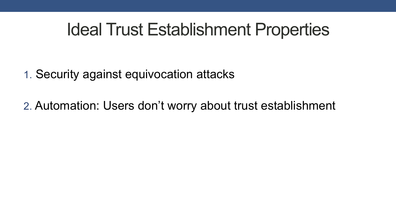## Ideal Trust Establishment Properties

- 1. Security against equivocation attacks
- 2. Automation: Users don't worry about trust establishment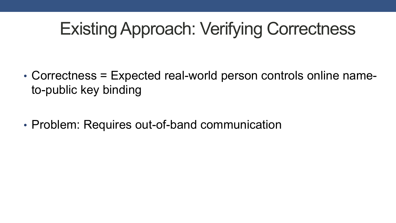# Existing Approach: Verifying Correctness

- Correctness = Expected real-world person controls online nameto-public key binding
- Problem: Requires out-of-band communication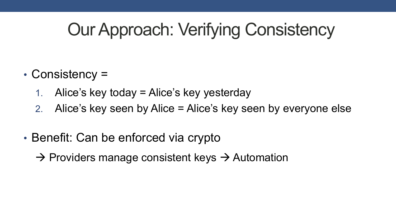# Our Approach: Verifying Consistency

- Consistency =
	- 1. Alice's key today = Alice's key yesterday
	- 2. Alice's key seen by Alice = Alice's key seen by everyone else
- Benefit: Can be enforced via crypto
	- $\rightarrow$  Providers manage consistent keys  $\rightarrow$  Automation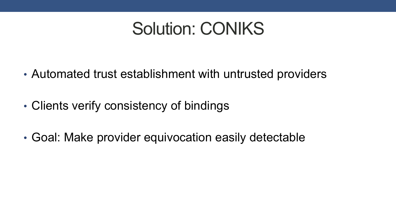## Solution: CONIKS

- Automated trust establishment with untrusted providers
- Clients verify consistency of bindings
- Goal: Make provider equivocation easily detectable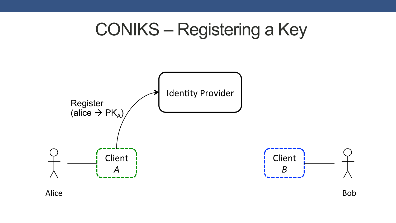

Alice **Bob**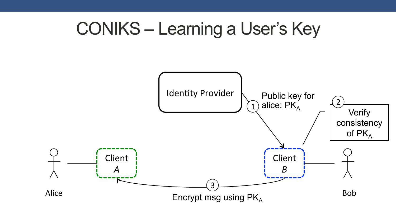## CONIKS – Learning a User's Key

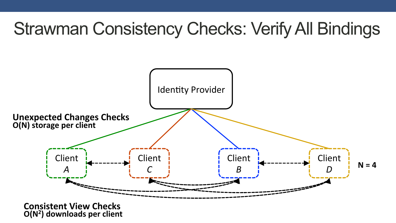# Strawman Consistency Checks: Verify All Bindings

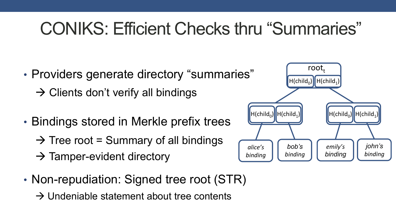# CONIKS: Efficient Checks thru "Summaries"

- Providers generate directory "summaries"
	- $\rightarrow$  Clients don't verify all bindings
- Bindings stored in Merkle prefix trees
	- $\rightarrow$  Tree root = Summary of all bindings
	- $\rightarrow$  Tamper-evident directory
- Non-repudiation: Signed tree root (STR)
	- $\rightarrow$  Undeniable statement about tree contents

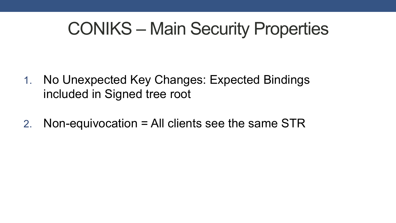## CONIKS – Main Security Properties

- 1. No Unexpected Key Changes: Expected Bindings included in Signed tree root
- 2. Non-equivocation = All clients see the same STR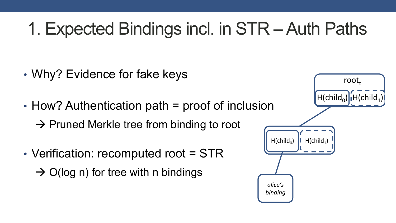# 1. Expected Bindings incl. in STR – Auth Paths

- Why? Evidence for fake keys
- How? Authentication path = proof of inclusion
	- $\rightarrow$  Pruned Merkle tree from binding to root
- Verification: recomputed root = STR  $\rightarrow$  O(log n) for tree with n bindings

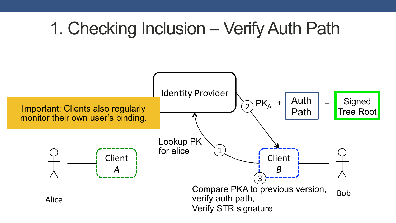## 1. Checking Inclusion – Verify Auth Path

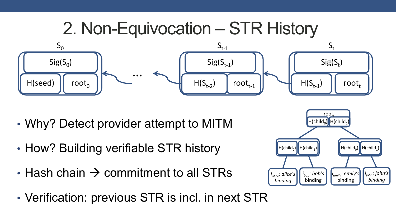

- Why? Detect provider attempt to MITM
- How? Building verifiable STR history
- Hash chain  $\rightarrow$  commitment to all STRs
- Verification: previous STR is incl. in next STR

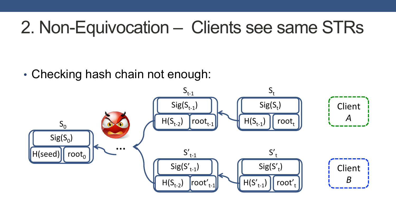## 2. Non-Equivocation – Clients see same STRs

• Checking hash chain not enough:

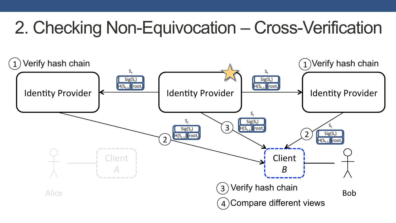# 2. Checking Non-Equivocation – Cross-Verification

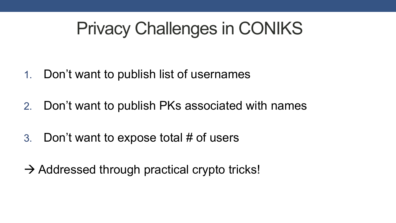## Privacy Challenges in CONIKS

- 1. Don't want to publish list of usernames
- 2. Don't want to publish PKs associated with names
- 3. Don't want to expose total # of users
- $\rightarrow$  Addressed through practical crypto tricks!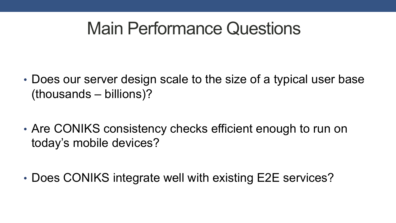#### Main Performance Questions

- Does our server design scale to the size of a typical user base (thousands – billions)?
- Are CONIKS consistency checks efficient enough to run on today's mobile devices?
- Does CONIKS integrate well with existing E2E services?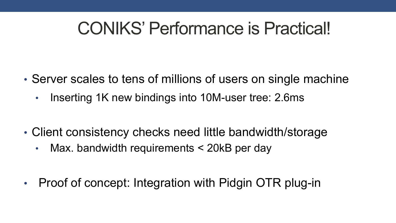## CONIKS' Performance is Practical!

- Server scales to tens of millions of users on single machine
	- Inserting 1K new bindings into 10M-user tree: 2.6ms
- Client consistency checks need little bandwidth/storage
	- Max. bandwidth requirements < 20kB per day
- Proof of concept: Integration with Pidgin OTR plug-in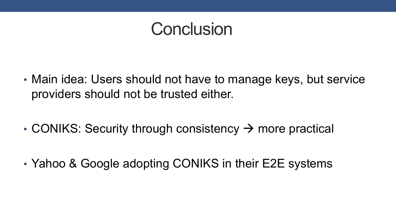#### **Conclusion**

- Main idea: Users should not have to manage keys, but service providers should not be trusted either.
- CONIKS: Security through consistency  $\rightarrow$  more practical
- Yahoo & Google adopting CONIKS in their E2E systems